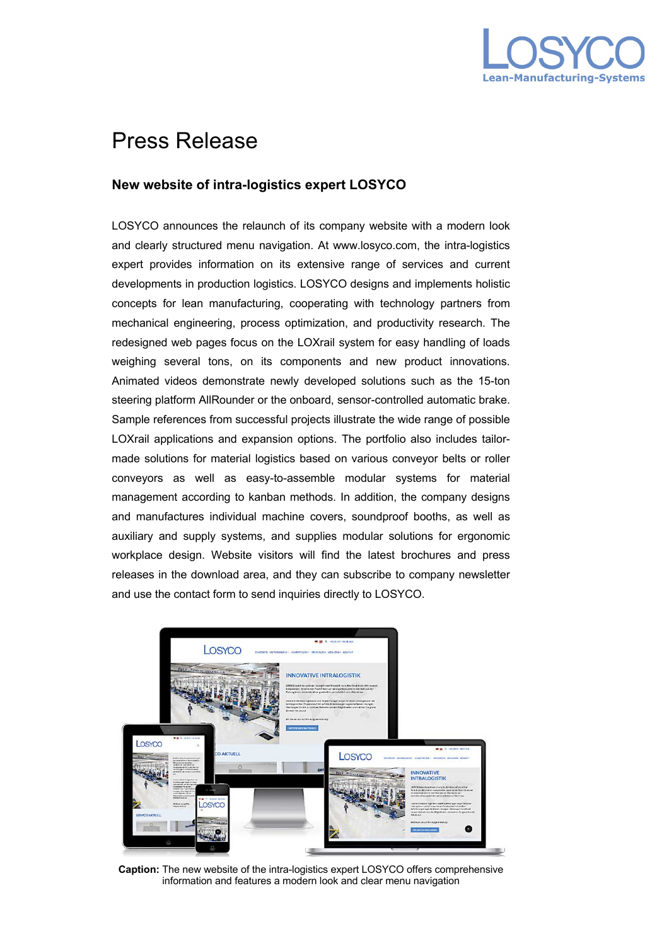

## Press Release

## **New website of intra-logistics expert LOSYCO**

LOSYCO announces the relaunch of its company website with a modern look and clearly structured menu navigation. At www.losyco.com, the intra-logistics expert provides information on its extensive range of services and current developments in production logistics. LOSYCO designs and implements holistic concepts for lean manufacturing, cooperating with technology partners from mechanical engineering, process optimization, and productivity research. The redesigned web pages focus on the LOXrail system for easy handling of loads weighing several tons, on its components and new product innovations. Animated videos demonstrate newly developed solutions such as the 15-ton steering platform AllRounder or the onboard, sensor-controlled automatic brake. Sample references from successful projects illustrate the wide range of possible LOXrail applications and expansion options. The portfolio also includes tailormade solutions for material logistics based on various conveyor belts or roller conveyors as well as easy-to-assemble modular systems for material management according to kanban methods. In addition, the company designs and manufactures individual machine covers, soundproof booths, as well as auxiliary and supply systems, and supplies modular solutions for ergonomic workplace design. Website visitors will find the latest brochures and press releases in the download area, and they can subscribe to company newsletter and use the contact form to send inquiries directly to LOSYCO.



**Caption:** The new website of the intra-logistics expert LOSYCO offers comprehensive information and features a modern look and clear menu navigation